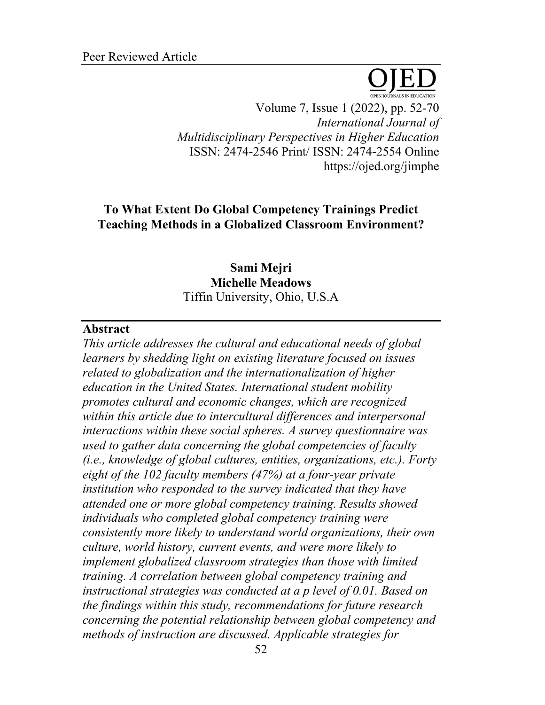Volume 7, Issue 1 (2022), pp. 52-70 *International Journal of Multidisciplinary Perspectives in Higher Education* ISSN: 2474-2546 Print/ ISSN: 2474-2554 Online https://ojed.org/jimphe

# **To What Extent Do Global Competency Trainings Predict Teaching Methods in a Globalized Classroom Environment?**

# **Sami Mejri Michelle Meadows** Tiffin University, Ohio, U.S.A

## **Abstract**

*This article addresses the cultural and educational needs of global learners by shedding light on existing literature focused on issues related to globalization and the internationalization of higher education in the United States. International student mobility promotes cultural and economic changes, which are recognized within this article due to intercultural differences and interpersonal interactions within these social spheres. A survey questionnaire was used to gather data concerning the global competencies of faculty (i.e., knowledge of global cultures, entities, organizations, etc.). Forty eight of the 102 faculty members (47%) at a four-year private institution who responded to the survey indicated that they have attended one or more global competency training. Results showed individuals who completed global competency training were consistently more likely to understand world organizations, their own culture, world history, current events, and were more likely to implement globalized classroom strategies than those with limited training. A correlation between global competency training and instructional strategies was conducted at a p level of 0.01. Based on the findings within this study, recommendations for future research concerning the potential relationship between global competency and methods of instruction are discussed. Applicable strategies for*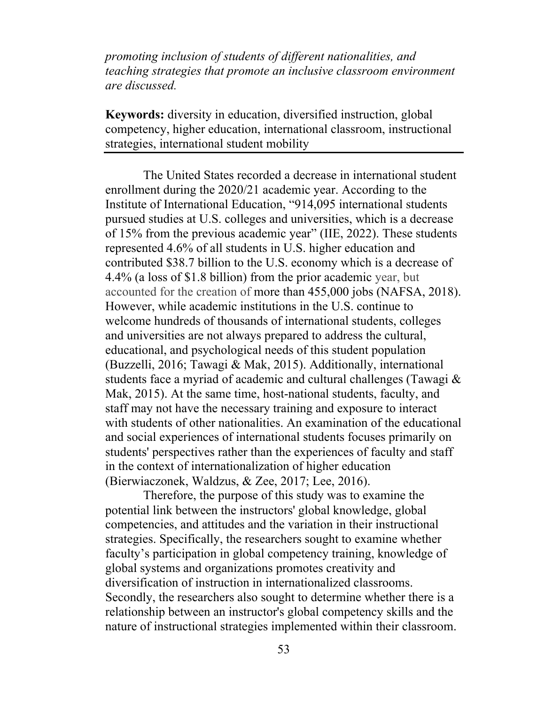*promoting inclusion of students of different nationalities, and teaching strategies that promote an inclusive classroom environment are discussed.*

**Keywords:** diversity in education, diversified instruction, global competency, higher education, international classroom, instructional strategies, international student mobility

The United States recorded a decrease in international student enrollment during the 2020/21 academic year. According to the Institute of International Education, "914,095 international students pursued studies at U.S. colleges and universities, which is a decrease of 15% from the previous academic year" (IIE, 2022). These students represented 4.6% of all students in U.S. higher education and contributed \$38.7 billion to the U.S. economy which is a decrease of 4.4% (a loss of \$1.8 billion) from the prior academic year, but accounted for the creation of more than 455,000 jobs (NAFSA, 2018). However, while academic institutions in the U.S. continue to welcome hundreds of thousands of international students, colleges and universities are not always prepared to address the cultural, educational, and psychological needs of this student population (Buzzelli, 2016; Tawagi & Mak, 2015). Additionally, international students face a myriad of academic and cultural challenges (Tawagi & Mak, 2015). At the same time, host-national students, faculty, and staff may not have the necessary training and exposure to interact with students of other nationalities. An examination of the educational and social experiences of international students focuses primarily on students' perspectives rather than the experiences of faculty and staff in the context of internationalization of higher education (Bierwiaczonek, Waldzus, & Zee, 2017; Lee, 2016).

Therefore, the purpose of this study was to examine the potential link between the instructors' global knowledge, global competencies, and attitudes and the variation in their instructional strategies. Specifically, the researchers sought to examine whether faculty's participation in global competency training, knowledge of global systems and organizations promotes creativity and diversification of instruction in internationalized classrooms. Secondly, the researchers also sought to determine whether there is a relationship between an instructor's global competency skills and the nature of instructional strategies implemented within their classroom.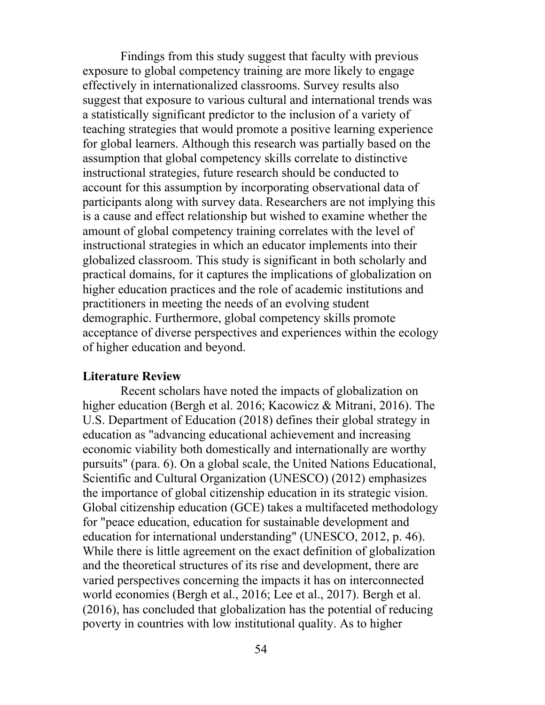Findings from this study suggest that faculty with previous exposure to global competency training are more likely to engage effectively in internationalized classrooms. Survey results also suggest that exposure to various cultural and international trends was a statistically significant predictor to the inclusion of a variety of teaching strategies that would promote a positive learning experience for global learners. Although this research was partially based on the assumption that global competency skills correlate to distinctive instructional strategies, future research should be conducted to account for this assumption by incorporating observational data of participants along with survey data. Researchers are not implying this is a cause and effect relationship but wished to examine whether the amount of global competency training correlates with the level of instructional strategies in which an educator implements into their globalized classroom. This study is significant in both scholarly and practical domains, for it captures the implications of globalization on higher education practices and the role of academic institutions and practitioners in meeting the needs of an evolving student demographic. Furthermore, global competency skills promote acceptance of diverse perspectives and experiences within the ecology of higher education and beyond.

#### **Literature Review**

Recent scholars have noted the impacts of globalization on higher education (Bergh et al. 2016; Kacowicz & Mitrani, 2016). The U.S. Department of Education (2018) defines their global strategy in education as "advancing educational achievement and increasing economic viability both domestically and internationally are worthy pursuits" (para. 6). On a global scale, the United Nations Educational, Scientific and Cultural Organization (UNESCO) (2012) emphasizes the importance of global citizenship education in its strategic vision. Global citizenship education (GCE) takes a multifaceted methodology for "peace education, education for sustainable development and education for international understanding" (UNESCO, 2012, p. 46). While there is little agreement on the exact definition of globalization and the theoretical structures of its rise and development, there are varied perspectives concerning the impacts it has on interconnected world economies (Bergh et al., 2016; Lee et al., 2017). Bergh et al. (2016), has concluded that globalization has the potential of reducing poverty in countries with low institutional quality. As to higher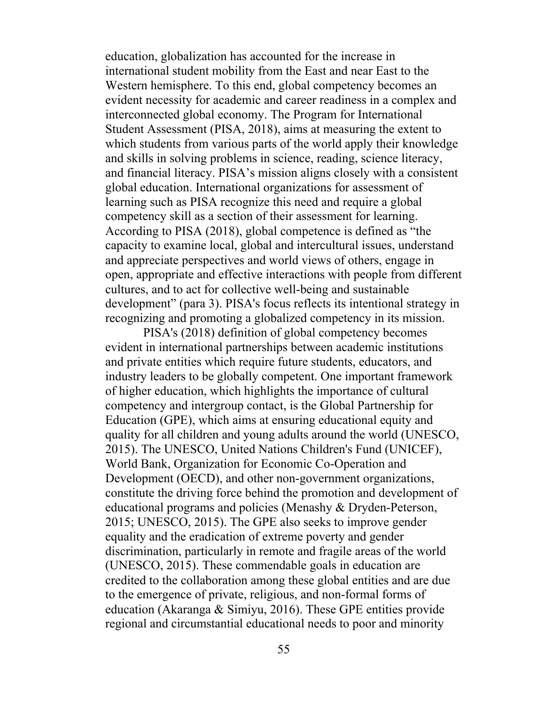education, globalization has accounted for the increase in international student mobility from the East and near East to the Western hemisphere. To this end, global competency becomes an evident necessity for academic and career readiness in a complex and interconnected global economy. The Program for International Student Assessment (PISA, 2018), aims at measuring the extent to which students from various parts of the world apply their knowledge and skills in solving problems in science, reading, science literacy, and financial literacy. PISA's mission aligns closely with a consistent global education. International organizations for assessment of learning such as PISA recognize this need and require a global competency skill as a section of their assessment for learning. According to PISA (2018), global competence is defined as "the capacity to examine local, global and intercultural issues, understand and appreciate perspectives and world views of others, engage in open, appropriate and effective interactions with people from different cultures, and to act for collective well-being and sustainable development" (para 3). PISA's focus reflects its intentional strategy in recognizing and promoting a globalized competency in its mission.

PISA's (2018) definition of global competency becomes evident in international partnerships between academic institutions and private entities which require future students, educators, and industry leaders to be globally competent. One important framework of higher education, which highlights the importance of cultural competency and intergroup contact, is the Global Partnership for Education (GPE), which aims at ensuring educational equity and quality for all children and young adults around the world (UNESCO, 2015). The UNESCO, United Nations Children's Fund (UNICEF), World Bank, Organization for Economic Co-Operation and Development (OECD), and other non-government organizations, constitute the driving force behind the promotion and development of educational programs and policies (Menashy & Dryden-Peterson, 2015; UNESCO, 2015). The GPE also seeks to improve gender equality and the eradication of extreme poverty and gender discrimination, particularly in remote and fragile areas of the world (UNESCO, 2015). These commendable goals in education are credited to the collaboration among these global entities and are due to the emergence of private, religious, and non-formal forms of education (Akaranga & Simiyu, 2016). These GPE entities provide regional and circumstantial educational needs to poor and minority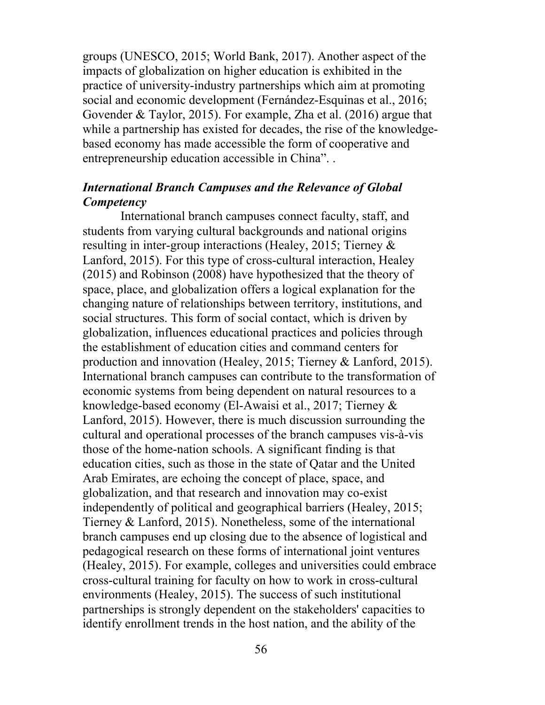groups (UNESCO, 2015; World Bank, 2017). Another aspect of the impacts of globalization on higher education is exhibited in the practice of university-industry partnerships which aim at promoting social and economic development (Fernández-Esquinas et al., 2016; Govender & Taylor, 2015). For example, Zha et al. (2016) argue that while a partnership has existed for decades, the rise of the knowledgebased economy has made accessible the form of cooperative and entrepreneurship education accessible in China". .

# *International Branch Campuses and the Relevance of Global Competency*

International branch campuses connect faculty, staff, and students from varying cultural backgrounds and national origins resulting in inter-group interactions (Healey, 2015; Tierney & Lanford, 2015). For this type of cross-cultural interaction, Healey (2015) and Robinson (2008) have hypothesized that the theory of space, place, and globalization offers a logical explanation for the changing nature of relationships between territory, institutions, and social structures. This form of social contact, which is driven by globalization, influences educational practices and policies through the establishment of education cities and command centers for production and innovation (Healey, 2015; Tierney & Lanford, 2015). International branch campuses can contribute to the transformation of economic systems from being dependent on natural resources to a knowledge-based economy (El-Awaisi et al., 2017; Tierney & Lanford, 2015). However, there is much discussion surrounding the cultural and operational processes of the branch campuses vis-à-vis those of the home-nation schools. A significant finding is that education cities, such as those in the state of Qatar and the United Arab Emirates, are echoing the concept of place, space, and globalization, and that research and innovation may co-exist independently of political and geographical barriers (Healey, 2015; Tierney & Lanford, 2015). Nonetheless, some of the international branch campuses end up closing due to the absence of logistical and pedagogical research on these forms of international joint ventures (Healey, 2015). For example, colleges and universities could embrace cross-cultural training for faculty on how to work in cross-cultural environments (Healey, 2015). The success of such institutional partnerships is strongly dependent on the stakeholders' capacities to identify enrollment trends in the host nation, and the ability of the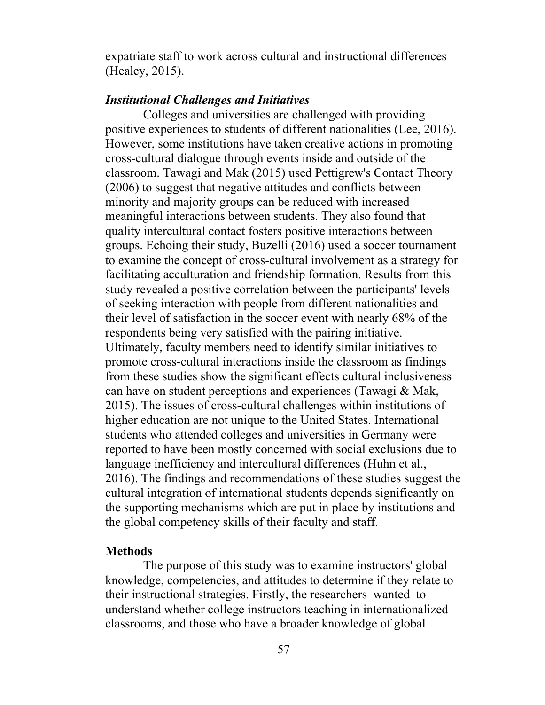expatriate staff to work across cultural and instructional differences (Healey, 2015).

## *Institutional Challenges and Initiatives*

Colleges and universities are challenged with providing positive experiences to students of different nationalities (Lee, 2016). However, some institutions have taken creative actions in promoting cross-cultural dialogue through events inside and outside of the classroom. Tawagi and Mak (2015) used Pettigrew's Contact Theory (2006) to suggest that negative attitudes and conflicts between minority and majority groups can be reduced with increased meaningful interactions between students. They also found that quality intercultural contact fosters positive interactions between groups. Echoing their study, Buzelli (2016) used a soccer tournament to examine the concept of cross-cultural involvement as a strategy for facilitating acculturation and friendship formation. Results from this study revealed a positive correlation between the participants' levels of seeking interaction with people from different nationalities and their level of satisfaction in the soccer event with nearly 68% of the respondents being very satisfied with the pairing initiative. Ultimately, faculty members need to identify similar initiatives to promote cross-cultural interactions inside the classroom as findings from these studies show the significant effects cultural inclusiveness can have on student perceptions and experiences (Tawagi & Mak, 2015). The issues of cross-cultural challenges within institutions of higher education are not unique to the United States. International students who attended colleges and universities in Germany were reported to have been mostly concerned with social exclusions due to language inefficiency and intercultural differences (Huhn et al., 2016). The findings and recommendations of these studies suggest the cultural integration of international students depends significantly on the supporting mechanisms which are put in place by institutions and the global competency skills of their faculty and staff.

### **Methods**

The purpose of this study was to examine instructors' global knowledge, competencies, and attitudes to determine if they relate to their instructional strategies. Firstly, the researchers wanted to understand whether college instructors teaching in internationalized classrooms, and those who have a broader knowledge of global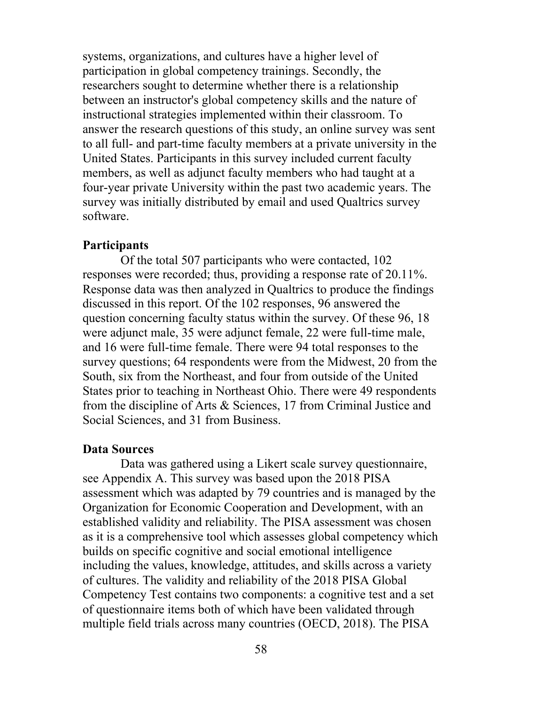systems, organizations, and cultures have a higher level of participation in global competency trainings. Secondly, the researchers sought to determine whether there is a relationship between an instructor's global competency skills and the nature of instructional strategies implemented within their classroom. To answer the research questions of this study, an online survey was sent to all full- and part-time faculty members at a private university in the United States. Participants in this survey included current faculty members, as well as adjunct faculty members who had taught at a four-year private University within the past two academic years. The survey was initially distributed by email and used Qualtrics survey software.

## **Participants**

Of the total 507 participants who were contacted, 102 responses were recorded; thus, providing a response rate of 20.11%. Response data was then analyzed in Qualtrics to produce the findings discussed in this report. Of the 102 responses, 96 answered the question concerning faculty status within the survey. Of these 96, 18 were adjunct male, 35 were adjunct female, 22 were full-time male, and 16 were full-time female. There were 94 total responses to the survey questions; 64 respondents were from the Midwest, 20 from the South, six from the Northeast, and four from outside of the United States prior to teaching in Northeast Ohio. There were 49 respondents from the discipline of Arts & Sciences, 17 from Criminal Justice and Social Sciences, and 31 from Business.

#### **Data Sources**

Data was gathered using a Likert scale survey questionnaire, see Appendix A. This survey was based upon the 2018 PISA assessment which was adapted by 79 countries and is managed by the Organization for Economic Cooperation and Development, with an established validity and reliability. The PISA assessment was chosen as it is a comprehensive tool which assesses global competency which builds on specific cognitive and social emotional intelligence including the values, knowledge, attitudes, and skills across a variety of cultures. The validity and reliability of the 2018 PISA Global Competency Test contains two components: a cognitive test and a set of questionnaire items both of which have been validated through multiple field trials across many countries (OECD, 2018). The PISA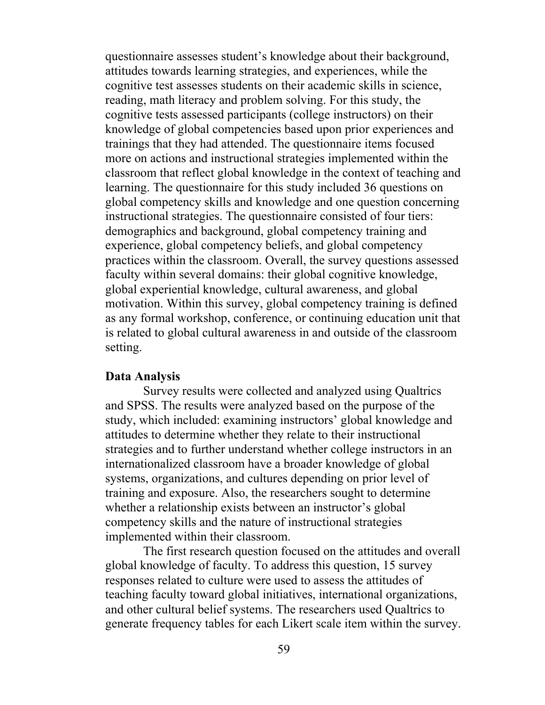questionnaire assesses student's knowledge about their background, attitudes towards learning strategies, and experiences, while the cognitive test assesses students on their academic skills in science, reading, math literacy and problem solving. For this study, the cognitive tests assessed participants (college instructors) on their knowledge of global competencies based upon prior experiences and trainings that they had attended. The questionnaire items focused more on actions and instructional strategies implemented within the classroom that reflect global knowledge in the context of teaching and learning. The questionnaire for this study included 36 questions on global competency skills and knowledge and one question concerning instructional strategies. The questionnaire consisted of four tiers: demographics and background, global competency training and experience, global competency beliefs, and global competency practices within the classroom. Overall, the survey questions assessed faculty within several domains: their global cognitive knowledge, global experiential knowledge, cultural awareness, and global motivation. Within this survey, global competency training is defined as any formal workshop, conference, or continuing education unit that is related to global cultural awareness in and outside of the classroom setting.

#### **Data Analysis**

Survey results were collected and analyzed using Qualtrics and SPSS. The results were analyzed based on the purpose of the study, which included: examining instructors' global knowledge and attitudes to determine whether they relate to their instructional strategies and to further understand whether college instructors in an internationalized classroom have a broader knowledge of global systems, organizations, and cultures depending on prior level of training and exposure. Also, the researchers sought to determine whether a relationship exists between an instructor's global competency skills and the nature of instructional strategies implemented within their classroom.

The first research question focused on the attitudes and overall global knowledge of faculty. To address this question, 15 survey responses related to culture were used to assess the attitudes of teaching faculty toward global initiatives, international organizations, and other cultural belief systems. The researchers used Qualtrics to generate frequency tables for each Likert scale item within the survey.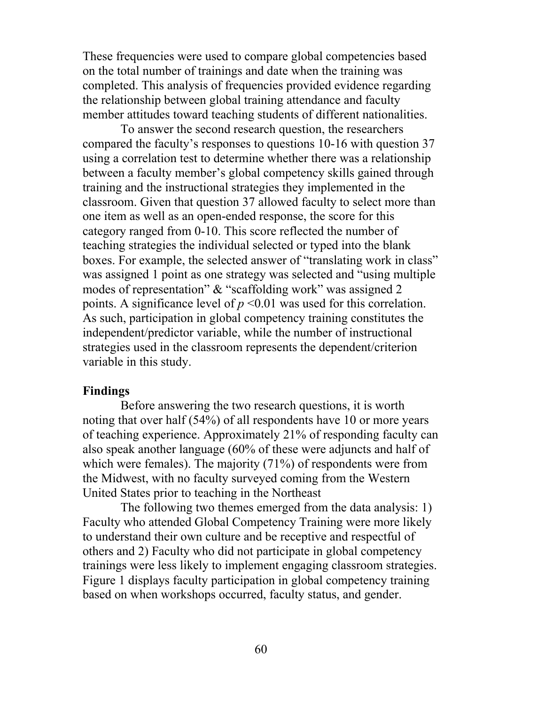These frequencies were used to compare global competencies based on the total number of trainings and date when the training was completed. This analysis of frequencies provided evidence regarding the relationship between global training attendance and faculty member attitudes toward teaching students of different nationalities.

To answer the second research question, the researchers compared the faculty's responses to questions 10-16 with question 37 using a correlation test to determine whether there was a relationship between a faculty member's global competency skills gained through training and the instructional strategies they implemented in the classroom. Given that question 37 allowed faculty to select more than one item as well as an open-ended response, the score for this category ranged from 0-10. This score reflected the number of teaching strategies the individual selected or typed into the blank boxes. For example, the selected answer of "translating work in class" was assigned 1 point as one strategy was selected and "using multiple modes of representation" & "scaffolding work" was assigned 2 points. A significance level of  $p \le 0.01$  was used for this correlation. As such, participation in global competency training constitutes the independent/predictor variable, while the number of instructional strategies used in the classroom represents the dependent/criterion variable in this study.

#### **Findings**

Before answering the two research questions, it is worth noting that over half (54%) of all respondents have 10 or more years of teaching experience. Approximately 21% of responding faculty can also speak another language (60% of these were adjuncts and half of which were females). The majority (71%) of respondents were from the Midwest, with no faculty surveyed coming from the Western United States prior to teaching in the Northeast

The following two themes emerged from the data analysis: 1) Faculty who attended Global Competency Training were more likely to understand their own culture and be receptive and respectful of others and 2) Faculty who did not participate in global competency trainings were less likely to implement engaging classroom strategies. Figure 1 displays faculty participation in global competency training based on when workshops occurred, faculty status, and gender.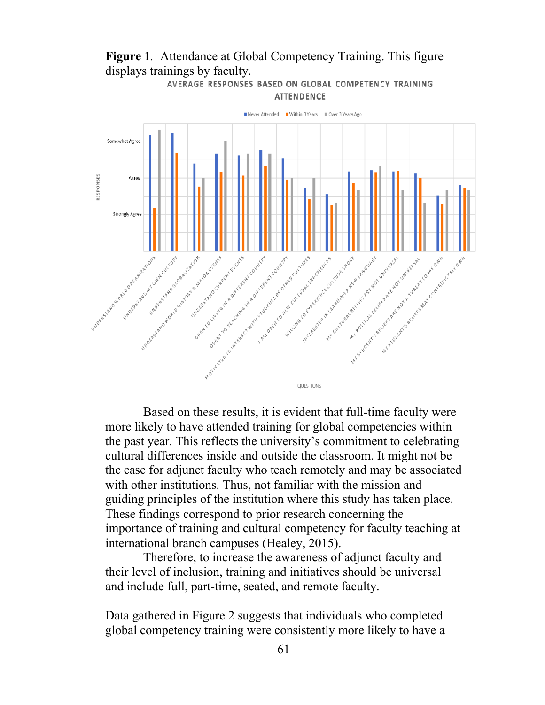

**Figure 1***.* Attendance at Global Competency Training. This figure displays trainings by faculty.

AVERAGE RESPONSES BASED ON GLOBAL COMPETENCY TRAINING

Based on these results, it is evident that full-time faculty were more likely to have attended training for global competencies within the past year. This reflects the university's commitment to celebrating cultural differences inside and outside the classroom. It might not be the case for adjunct faculty who teach remotely and may be associated with other institutions. Thus, not familiar with the mission and guiding principles of the institution where this study has taken place. These findings correspond to prior research concerning the importance of training and cultural competency for faculty teaching at international branch campuses (Healey, 2015).

Therefore, to increase the awareness of adjunct faculty and their level of inclusion, training and initiatives should be universal and include full, part-time, seated, and remote faculty.

Data gathered in Figure 2 suggests that individuals who completed global competency training were consistently more likely to have a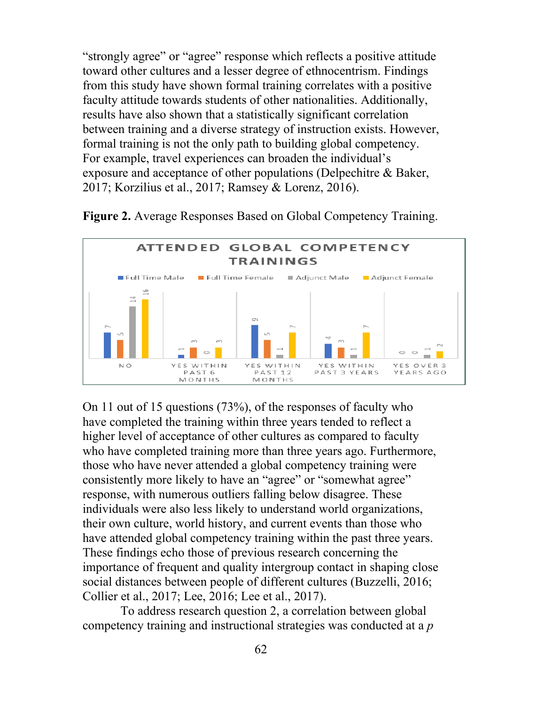"strongly agree" or "agree" response which reflects a positive attitude toward other cultures and a lesser degree of ethnocentrism. Findings from this study have shown formal training correlates with a positive faculty attitude towards students of other nationalities. Additionally, results have also shown that a statistically significant correlation between training and a diverse strategy of instruction exists. However, formal training is not the only path to building global competency. For example, travel experiences can broaden the individual's exposure and acceptance of other populations (Delpechitre & Baker, 2017; Korzilius et al., 2017; Ramsey & Lorenz, 2016).



**Figure 2.** Average Responses Based on Global Competency Training.

On 11 out of 15 questions (73%), of the responses of faculty who have completed the training within three years tended to reflect a higher level of acceptance of other cultures as compared to faculty who have completed training more than three years ago. Furthermore, those who have never attended a global competency training were consistently more likely to have an "agree" or "somewhat agree" response, with numerous outliers falling below disagree. These individuals were also less likely to understand world organizations, their own culture, world history, and current events than those who have attended global competency training within the past three years. These findings echo those of previous research concerning the importance of frequent and quality intergroup contact in shaping close social distances between people of different cultures (Buzzelli, 2016; Collier et al., 2017; Lee, 2016; Lee et al., 2017).

To address research question 2, a correlation between global competency training and instructional strategies was conducted at a *p*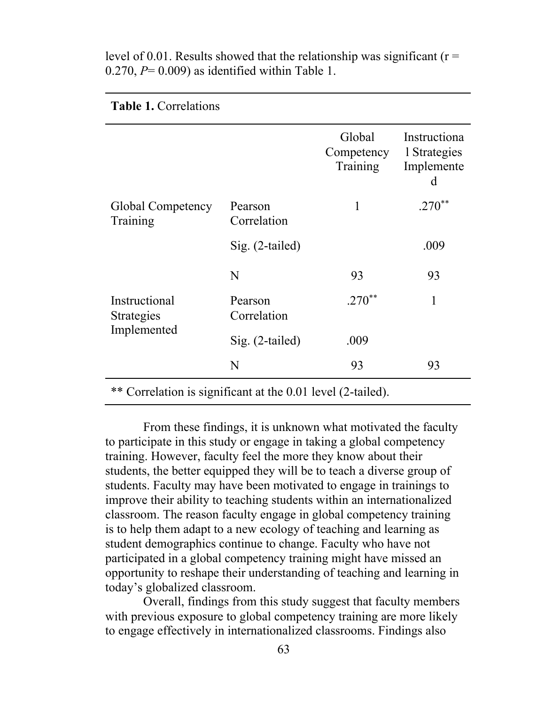|                                            |                        | Global<br>Competency<br>Training | Instructiona<br>1 Strategies<br>Implemente<br>d |
|--------------------------------------------|------------------------|----------------------------------|-------------------------------------------------|
| Global Competency<br>Training              | Pearson<br>Correlation | 1                                | $.270**$                                        |
|                                            | $Sig. (2-tailed)$      |                                  | .009                                            |
| Instructional<br>Strategies<br>Implemented | N                      | 93                               | 93                                              |
|                                            | Pearson<br>Correlation | $.270**$                         | 1                                               |
|                                            | Sig. (2-tailed)        | .009                             |                                                 |
|                                            | N                      | 93                               | 93                                              |
|                                            |                        |                                  |                                                 |

level of 0.01. Results showed that the relationship was significant ( $r =$  $0.270$ ,  $P= 0.009$ ) as identified within Table 1.

**Table 1.** Correlations

\*\* Correlation is significant at the 0.01 level (2-tailed).

From these findings, it is unknown what motivated the faculty to participate in this study or engage in taking a global competency training. However, faculty feel the more they know about their students, the better equipped they will be to teach a diverse group of students. Faculty may have been motivated to engage in trainings to improve their ability to teaching students within an internationalized classroom. The reason faculty engage in global competency training is to help them adapt to a new ecology of teaching and learning as student demographics continue to change. Faculty who have not participated in a global competency training might have missed an opportunity to reshape their understanding of teaching and learning in today's globalized classroom.

Overall, findings from this study suggest that faculty members with previous exposure to global competency training are more likely to engage effectively in internationalized classrooms. Findings also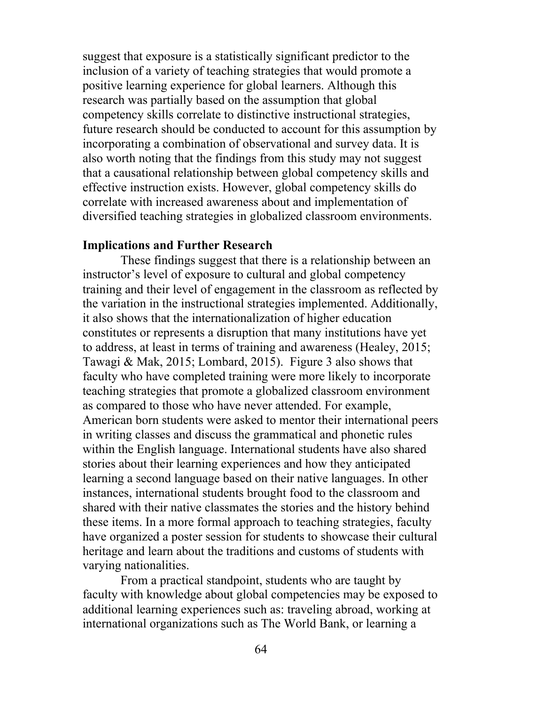suggest that exposure is a statistically significant predictor to the inclusion of a variety of teaching strategies that would promote a positive learning experience for global learners. Although this research was partially based on the assumption that global competency skills correlate to distinctive instructional strategies, future research should be conducted to account for this assumption by incorporating a combination of observational and survey data. It is also worth noting that the findings from this study may not suggest that a causational relationship between global competency skills and effective instruction exists. However, global competency skills do correlate with increased awareness about and implementation of diversified teaching strategies in globalized classroom environments.

## **Implications and Further Research**

These findings suggest that there is a relationship between an instructor's level of exposure to cultural and global competency training and their level of engagement in the classroom as reflected by the variation in the instructional strategies implemented. Additionally, it also shows that the internationalization of higher education constitutes or represents a disruption that many institutions have yet to address, at least in terms of training and awareness (Healey, 2015; Tawagi & Mak, 2015; Lombard, 2015). Figure 3 also shows that faculty who have completed training were more likely to incorporate teaching strategies that promote a globalized classroom environment as compared to those who have never attended. For example, American born students were asked to mentor their international peers in writing classes and discuss the grammatical and phonetic rules within the English language. International students have also shared stories about their learning experiences and how they anticipated learning a second language based on their native languages. In other instances, international students brought food to the classroom and shared with their native classmates the stories and the history behind these items. In a more formal approach to teaching strategies, faculty have organized a poster session for students to showcase their cultural heritage and learn about the traditions and customs of students with varying nationalities.

From a practical standpoint, students who are taught by faculty with knowledge about global competencies may be exposed to additional learning experiences such as: traveling abroad, working at international organizations such as The World Bank, or learning a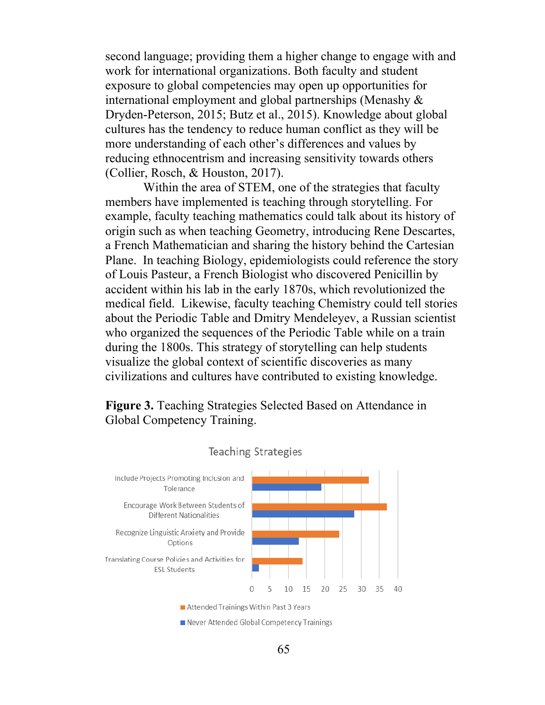second language; providing them a higher change to engage with and work for international organizations. Both faculty and student exposure to global competencies may open up opportunities for international employment and global partnerships (Menashy & Dryden-Peterson, 2015; Butz et al., 2015). Knowledge about global cultures has the tendency to reduce human conflict as they will be more understanding of each other's differences and values by reducing ethnocentrism and increasing sensitivity towards others (Collier, Rosch, & Houston, 2017).

Within the area of STEM, one of the strategies that faculty members have implemented is teaching through storytelling. For example, faculty teaching mathematics could talk about its history of origin such as when teaching Geometry, introducing Rene Descartes, a French Mathematician and sharing the history behind the Cartesian Plane. In teaching Biology, epidemiologists could reference the story of Louis Pasteur, a French Biologist who discovered Penicillin by accident within his lab in the early 1870s, which revolutionized the medical field. Likewise, faculty teaching Chemistry could tell stories about the Periodic Table and Dmitry Mendeleyev, a Russian scientist who organized the sequences of the Periodic Table while on a train during the 1800s. This strategy of storytelling can help students visualize the global context of scientific discoveries as many civilizations and cultures have contributed to existing knowledge.

**Figure 3.** Teaching Strategies Selected Based on Attendance in Global Competency Training.



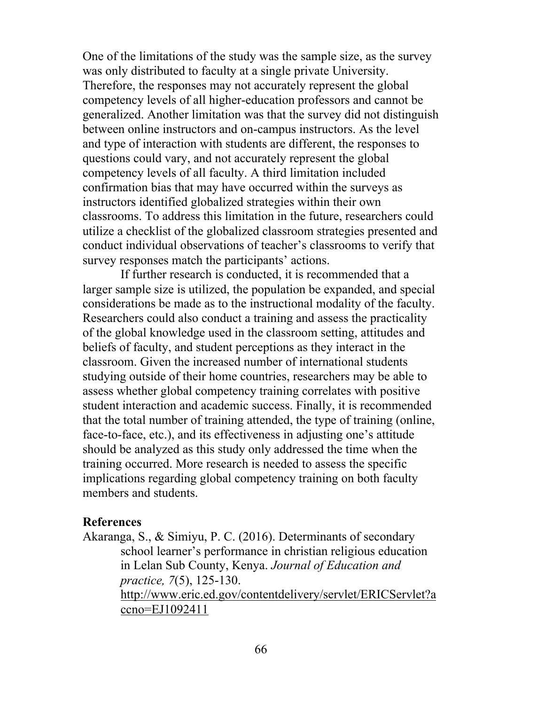One of the limitations of the study was the sample size, as the survey was only distributed to faculty at a single private University. Therefore, the responses may not accurately represent the global competency levels of all higher-education professors and cannot be generalized. Another limitation was that the survey did not distinguish between online instructors and on-campus instructors. As the level and type of interaction with students are different, the responses to questions could vary, and not accurately represent the global competency levels of all faculty. A third limitation included confirmation bias that may have occurred within the surveys as instructors identified globalized strategies within their own classrooms. To address this limitation in the future, researchers could utilize a checklist of the globalized classroom strategies presented and conduct individual observations of teacher's classrooms to verify that survey responses match the participants' actions.

If further research is conducted, it is recommended that a larger sample size is utilized, the population be expanded, and special considerations be made as to the instructional modality of the faculty. Researchers could also conduct a training and assess the practicality of the global knowledge used in the classroom setting, attitudes and beliefs of faculty, and student perceptions as they interact in the classroom. Given the increased number of international students studying outside of their home countries, researchers may be able to assess whether global competency training correlates with positive student interaction and academic success. Finally, it is recommended that the total number of training attended, the type of training (online, face-to-face, etc.), and its effectiveness in adjusting one's attitude should be analyzed as this study only addressed the time when the training occurred. More research is needed to assess the specific implications regarding global competency training on both faculty members and students.

#### **References**

Akaranga, S., & Simiyu, P. C. (2016). Determinants of secondary school learner's performance in christian religious education in Lelan Sub County, Kenya. *Journal of Education and practice, 7*(5), 125-130. http://www.eric.ed.gov/contentdelivery/servlet/ERICServlet?a ccno=EJ1092411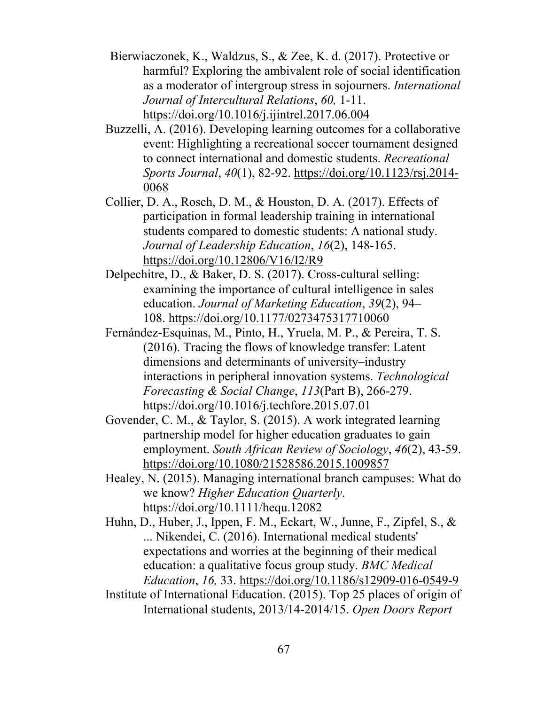Bierwiaczonek, K., Waldzus, S., & Zee, K. d. (2017). Protective or harmful? Exploring the ambivalent role of social identification as a moderator of intergroup stress in sojourners. *International Journal of Intercultural Relations*, *60,* 1-11. https://doi.org/10.1016/j.ijintrel.2017.06.004

Buzzelli, A. (2016). Developing learning outcomes for a collaborative event: Highlighting a recreational soccer tournament designed to connect international and domestic students. *Recreational Sports Journal*, *40*(1), 82-92. https://doi.org/10.1123/rsj.2014- 0068

Collier, D. A., Rosch, D. M., & Houston, D. A. (2017). Effects of participation in formal leadership training in international students compared to domestic students: A national study. *Journal of Leadership Education*, *16*(2), 148-165. https://doi.org/10.12806/V16/I2/R9

Delpechitre, D., & Baker, D. S. (2017). Cross-cultural selling: examining the importance of cultural intelligence in sales education. *Journal of Marketing Education*, *39*(2), 94– 108. https://doi.org/10.1177/0273475317710060

Fernández-Esquinas, M., Pinto, H., Yruela, M. P., & Pereira, T. S. (2016). Tracing the flows of knowledge transfer: Latent dimensions and determinants of university–industry interactions in peripheral innovation systems. *Technological Forecasting & Social Change*, *113*(Part B), 266-279. https://doi.org/10.1016/j.techfore.2015.07.01

Govender, C. M., & Taylor, S. (2015). A work integrated learning partnership model for higher education graduates to gain employment. *South African Review of Sociology*, *46*(2), 43-59. https://doi.org/10.1080/21528586.2015.1009857

Healey, N. (2015). Managing international branch campuses: What do we know? *Higher Education Quarterly*. https://doi.org/10.1111/hequ.12082

Huhn, D., Huber, J., Ippen, F. M., Eckart, W., Junne, F., Zipfel, S., & ... Nikendei, C. (2016). International medical students' expectations and worries at the beginning of their medical education: a qualitative focus group study. *BMC Medical Education*, *16,* 33. https://doi.org/10.1186/s12909-016-0549-9

Institute of International Education. (2015). Top 25 places of origin of International students, 2013/14-2014/15. *Open Doors Report*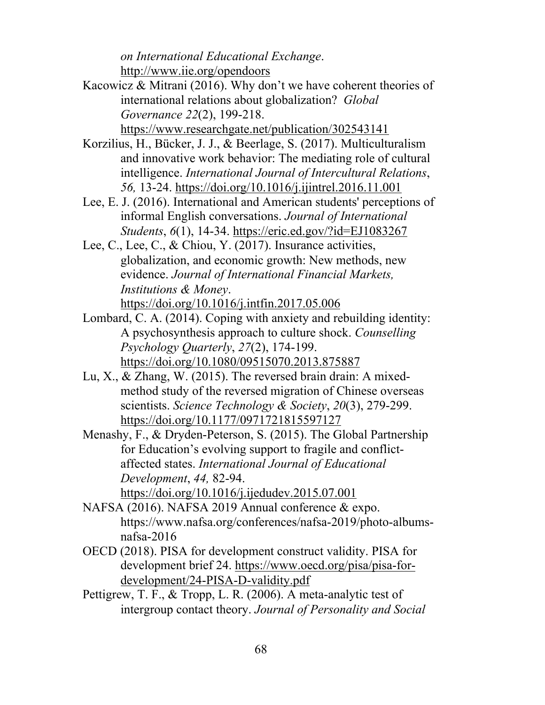*on International Educational Exchange*. http://www.iie.org/opendoors

- Kacowicz & Mitrani (2016). Why don't we have coherent theories of international relations about globalization? *Global Governance 22*(2), 199-218. https://www.researchgate.net/publication/302543141
- Korzilius, H., Bücker, J. J., & Beerlage, S. (2017). Multiculturalism and innovative work behavior: The mediating role of cultural intelligence. *International Journal of Intercultural Relations*, *56,* 13-24. https://doi.org/10.1016/j.ijintrel.2016.11.001
- Lee, E. J. (2016). International and American students' perceptions of informal English conversations. *Journal of International Students*, *6*(1), 14-34. https://eric.ed.gov/?id=EJ1083267
- Lee, C., Lee, C., & Chiou, Y. (2017). Insurance activities, globalization, and economic growth: New methods, new evidence. *Journal of International Financial Markets, Institutions & Money*. https://doi.org/10.1016/j.intfin.2017.05.006
- Lombard, C. A. (2014). Coping with anxiety and rebuilding identity: A psychosynthesis approach to culture shock. *Counselling Psychology Quarterly*, *27*(2), 174-199. https://doi.org/10.1080/09515070.2013.875887
- Lu, X., & Zhang, W. (2015). The reversed brain drain: A mixedmethod study of the reversed migration of Chinese overseas scientists. *Science Technology & Society*, *20*(3), 279-299. https://doi.org/10.1177/0971721815597127
- Menashy, F., & Dryden-Peterson, S. (2015). The Global Partnership for Education's evolving support to fragile and conflictaffected states. *International Journal of Educational Development*, *44,* 82-94. https://doi.org/10.1016/j.ijedudev.2015.07.001
- NAFSA (2016). NAFSA 2019 Annual conference & expo. https://www.nafsa.org/conferences/nafsa-2019/photo-albumsnafsa-2016
- OECD (2018). PISA for development construct validity. PISA for development brief 24. https://www.oecd.org/pisa/pisa-fordevelopment/24-PISA-D-validity.pdf
- Pettigrew, T. F., & Tropp, L. R. (2006). A meta-analytic test of intergroup contact theory. *Journal of Personality and Social*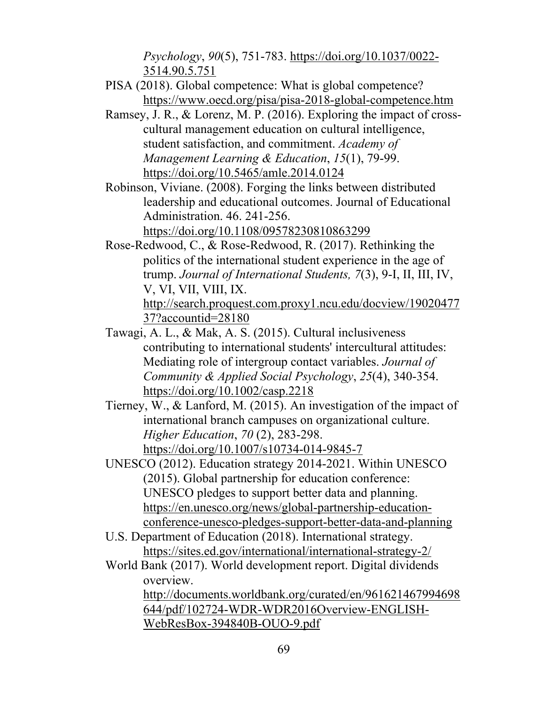*Psychology*, *90*(5), 751-783. https://doi.org/10.1037/0022- 3514.90.5.751

- PISA (2018). Global competence: What is global competence? https://www.oecd.org/pisa/pisa-2018-global-competence.htm
- Ramsey, J. R., & Lorenz, M. P. (2016). Exploring the impact of crosscultural management education on cultural intelligence, student satisfaction, and commitment. *Academy of Management Learning & Education*, *15*(1), 79-99. https://doi.org/10.5465/amle.2014.0124
- Robinson, Viviane. (2008). Forging the links between distributed leadership and educational outcomes. Journal of Educational Administration. 46. 241-256. https://doi.org/10.1108/09578230810863299
- Rose-Redwood, C., & Rose-Redwood, R. (2017). Rethinking the politics of the international student experience in the age of trump. *Journal of International Students, 7*(3), 9-I, II, III, IV, V, VI, VII, VIII, IX. http://search.proquest.com.proxy1.ncu.edu/docview/19020477 37?accountid=28180
- Tawagi, A. L., & Mak, A. S. (2015). Cultural inclusiveness contributing to international students' intercultural attitudes: Mediating role of intergroup contact variables. *Journal of Community & Applied Social Psychology*, *25*(4), 340-354. https://doi.org/10.1002/casp.2218
- Tierney, W., & Lanford, M. (2015). An investigation of the impact of international branch campuses on organizational culture. *Higher Education*, *70* (2), 283-298. https://doi.org/10.1007/s10734-014-9845-7
- UNESCO (2012). Education strategy 2014-2021. Within UNESCO (2015). Global partnership for education conference: UNESCO pledges to support better data and planning. https://en.unesco.org/news/global-partnership-educationconference-unesco-pledges-support-better-data-and-planning
- U.S. Department of Education (2018). International strategy. https://sites.ed.gov/international/international-strategy-2/
- World Bank (2017). World development report. Digital dividends overview.

http://documents.worldbank.org/curated/en/961621467994698 644/pdf/102724-WDR-WDR2016Overview-ENGLISH-WebResBox-394840B-OUO-9.pdf